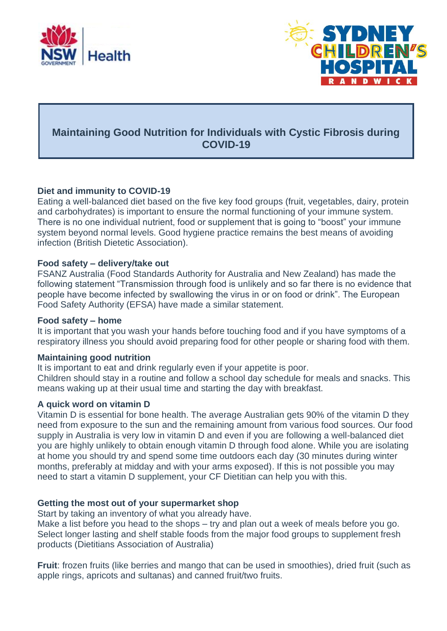



# **Maintaining Good Nutrition for Individuals with Cystic Fibrosis during COVID-19**

## **Diet and immunity to COVID-19**

Eating a well-balanced diet based on the five key food groups (fruit, vegetables, dairy, protein and carbohydrates) is important to ensure the normal functioning of your immune system. There is no one individual nutrient, food or supplement that is going to "boost" your immune system beyond normal levels. Good hygiene practice remains the best means of avoiding infection (British Dietetic Association).

#### **Food safety – delivery/take out**

FSANZ Australia (Food Standards Authority for Australia and New Zealand) has made the following statement "Transmission through food is unlikely and so far there is no evidence that people have become infected by swallowing the virus in or on food or drink". The European Food Safety Authority (EFSA) have made a similar statement.

## **Food safety – home**

It is important that you wash your hands before touching food and if you have symptoms of a respiratory illness you should avoid preparing food for other people or sharing food with them.

## **Maintaining good nutrition**

It is important to eat and drink regularly even if your appetite is poor. Children should stay in a routine and follow a school day schedule for meals and snacks. This means waking up at their usual time and starting the day with breakfast.

## **A quick word on vitamin D**

Vitamin D is essential for bone health. The average Australian gets 90% of the vitamin D they need from exposure to the sun and the remaining amount from various food sources. Our food supply in Australia is very low in vitamin D and even if you are following a well-balanced diet you are highly unlikely to obtain enough vitamin D through food alone. While you are isolating at home you should try and spend some time outdoors each day (30 minutes during winter months, preferably at midday and with your arms exposed). If this is not possible you may need to start a vitamin D supplement, your CF Dietitian can help you with this.

## **Getting the most out of your supermarket shop**

Start by taking an inventory of what you already have.

Make a list before you head to the shops – try and plan out a week of meals before you go. Select longer lasting and shelf stable foods from the major food groups to supplement fresh products (Dietitians Association of Australia)

**Fruit**: frozen fruits (like berries and mango that can be used in smoothies), dried fruit (such as apple rings, apricots and sultanas) and canned fruit/two fruits.